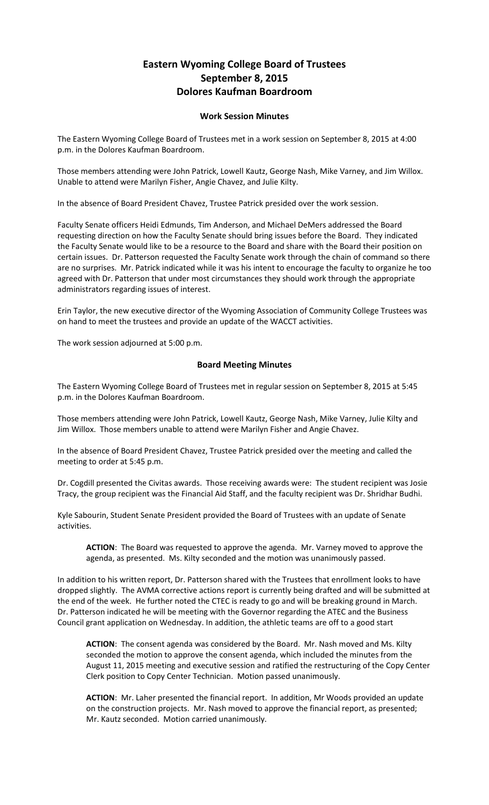## **Eastern Wyoming College Board of Trustees September 8, 2015 Dolores Kaufman Boardroom**

## **Work Session Minutes**

The Eastern Wyoming College Board of Trustees met in a work session on September 8, 2015 at 4:00 p.m. in the Dolores Kaufman Boardroom.

Those members attending were John Patrick, Lowell Kautz, George Nash, Mike Varney, and Jim Willox. Unable to attend were Marilyn Fisher, Angie Chavez, and Julie Kilty.

In the absence of Board President Chavez, Trustee Patrick presided over the work session.

Faculty Senate officers Heidi Edmunds, Tim Anderson, and Michael DeMers addressed the Board requesting direction on how the Faculty Senate should bring issues before the Board. They indicated the Faculty Senate would like to be a resource to the Board and share with the Board their position on certain issues. Dr. Patterson requested the Faculty Senate work through the chain of command so there are no surprises. Mr. Patrick indicated while it was his intent to encourage the faculty to organize he too agreed with Dr. Patterson that under most circumstances they should work through the appropriate administrators regarding issues of interest.

Erin Taylor, the new executive director of the Wyoming Association of Community College Trustees was on hand to meet the trustees and provide an update of the WACCT activities.

The work session adjourned at 5:00 p.m.

## **Board Meeting Minutes**

The Eastern Wyoming College Board of Trustees met in regular session on September 8, 2015 at 5:45 p.m. in the Dolores Kaufman Boardroom.

Those members attending were John Patrick, Lowell Kautz, George Nash, Mike Varney, Julie Kilty and Jim Willox. Those members unable to attend were Marilyn Fisher and Angie Chavez.

In the absence of Board President Chavez, Trustee Patrick presided over the meeting and called the meeting to order at 5:45 p.m.

Dr. Cogdill presented the Civitas awards. Those receiving awards were: The student recipient was Josie Tracy, the group recipient was the Financial Aid Staff, and the faculty recipient was Dr. Shridhar Budhi.

Kyle Sabourin, Student Senate President provided the Board of Trustees with an update of Senate activities.

**ACTION**: The Board was requested to approve the agenda. Mr. Varney moved to approve the agenda, as presented. Ms. Kilty seconded and the motion was unanimously passed.

In addition to his written report, Dr. Patterson shared with the Trustees that enrollment looks to have dropped slightly. The AVMA corrective actions report is currently being drafted and will be submitted at the end of the week. He further noted the CTEC is ready to go and will be breaking ground in March. Dr. Patterson indicated he will be meeting with the Governor regarding the ATEC and the Business Council grant application on Wednesday. In addition, the athletic teams are off to a good start

**ACTION**: The consent agenda was considered by the Board. Mr. Nash moved and Ms. Kilty seconded the motion to approve the consent agenda, which included the minutes from the August 11, 2015 meeting and executive session and ratified the restructuring of the Copy Center Clerk position to Copy Center Technician. Motion passed unanimously.

**ACTION**: Mr. Laher presented the financial report. In addition, Mr Woods provided an update on the construction projects. Mr. Nash moved to approve the financial report, as presented; Mr. Kautz seconded. Motion carried unanimously.